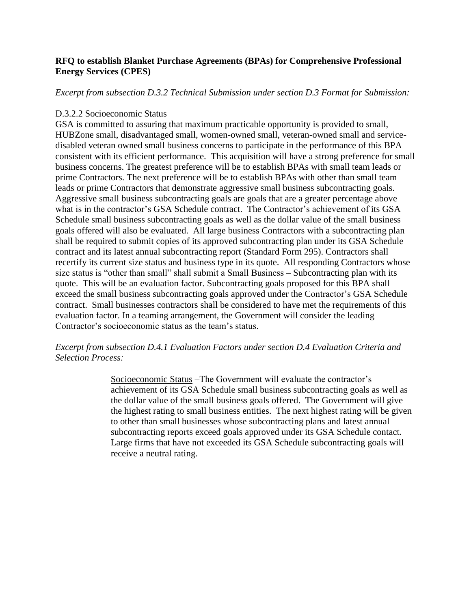# **RFQ to establish Blanket Purchase Agreements (BPAs) for Comprehensive Professional Energy Services (CPES)**

*Excerpt from subsection D.3.2 Technical Submission under section D.3 Format for Submission:*

### D.3.2.2 Socioeconomic Status

GSA is committed to assuring that maximum practicable opportunity is provided to small, HUBZone small, disadvantaged small, women-owned small, veteran-owned small and servicedisabled veteran owned small business concerns to participate in the performance of this BPA consistent with its efficient performance. This acquisition will have a strong preference for small business concerns. The greatest preference will be to establish BPAs with small team leads or prime Contractors. The next preference will be to establish BPAs with other than small team leads or prime Contractors that demonstrate aggressive small business subcontracting goals. Aggressive small business subcontracting goals are goals that are a greater percentage above what is in the contractor's GSA Schedule contract. The Contractor's achievement of its GSA Schedule small business subcontracting goals as well as the dollar value of the small business goals offered will also be evaluated. All large business Contractors with a subcontracting plan shall be required to submit copies of its approved subcontracting plan under its GSA Schedule contract and its latest annual subcontracting report (Standard Form 295). Contractors shall recertify its current size status and business type in its quote. All responding Contractors whose size status is "other than small" shall submit a Small Business – Subcontracting plan with its quote. This will be an evaluation factor. Subcontracting goals proposed for this BPA shall exceed the small business subcontracting goals approved under the Contractor's GSA Schedule contract. Small businesses contractors shall be considered to have met the requirements of this evaluation factor. In a teaming arrangement, the Government will consider the leading Contractor's socioeconomic status as the team's status.

## *Excerpt from subsection D.4.1 Evaluation Factors under section D.4 Evaluation Criteria and Selection Process:*

Socioeconomic Status –The Government will evaluate the contractor's achievement of its GSA Schedule small business subcontracting goals as well as the dollar value of the small business goals offered. The Government will give the highest rating to small business entities. The next highest rating will be given to other than small businesses whose subcontracting plans and latest annual subcontracting reports exceed goals approved under its GSA Schedule contact. Large firms that have not exceeded its GSA Schedule subcontracting goals will receive a neutral rating.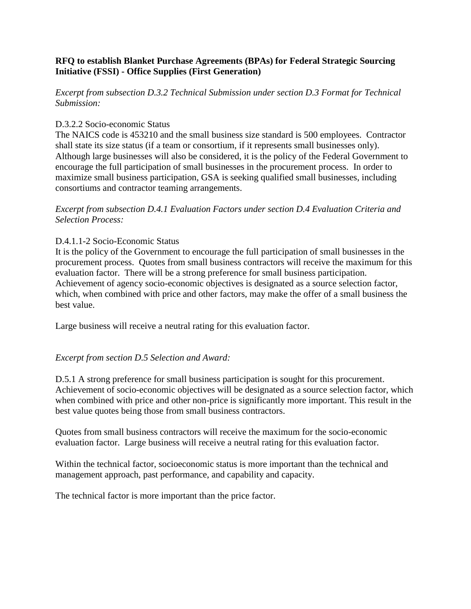# **RFQ to establish Blanket Purchase Agreements (BPAs) for Federal Strategic Sourcing Initiative (FSSI) - Office Supplies (First Generation)**

*Excerpt from subsection D.3.2 Technical Submission under section D.3 Format for Technical Submission:*

## D.3.2.2 Socio-economic Status

The NAICS code is 453210 and the small business size standard is 500 employees. Contractor shall state its size status (if a team or consortium, if it represents small businesses only). Although large businesses will also be considered, it is the policy of the Federal Government to encourage the full participation of small businesses in the procurement process. In order to maximize small business participation, GSA is seeking qualified small businesses, including consortiums and contractor teaming arrangements.

*Excerpt from subsection D.4.1 Evaluation Factors under section D.4 Evaluation Criteria and Selection Process:*

## D.4.1.1-2 Socio-Economic Status

It is the policy of the Government to encourage the full participation of small businesses in the procurement process. Quotes from small business contractors will receive the maximum for this evaluation factor. There will be a strong preference for small business participation. Achievement of agency socio-economic objectives is designated as a source selection factor, which, when combined with price and other factors, may make the offer of a small business the best value.

Large business will receive a neutral rating for this evaluation factor.

# *Excerpt from section D.5 Selection and Award:*

D.5.1 A strong preference for small business participation is sought for this procurement. Achievement of socio-economic objectives will be designated as a source selection factor, which when combined with price and other non-price is significantly more important. This result in the best value quotes being those from small business contractors.

Quotes from small business contractors will receive the maximum for the socio-economic evaluation factor. Large business will receive a neutral rating for this evaluation factor.

Within the technical factor, socioeconomic status is more important than the technical and management approach, past performance, and capability and capacity.

The technical factor is more important than the price factor.